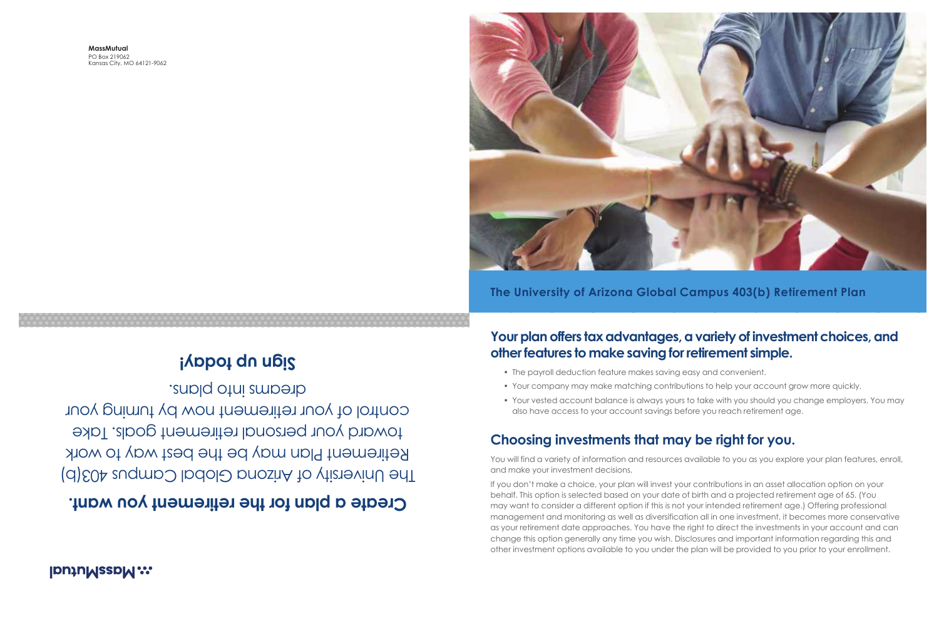**MassMutual** PO Box 219062 Kansas City, MO 64121-9062

### **The University of Arizona Global Campus 403(b) Retirement Plan**

## **IDUJUMSSDM::**

# **a plan for the retirement you want. Create**

The University of Arizona Global Campus 403(b) Retirement Plan may be the best way to work toward your personal retirement goals. Take control of your retirement now by turning your dreams into plans.

# **Example 10 upis**

# **Your plan offers tax advantages, a variety of investment choices, and other features to make saving for retirement simple.**



• The payroll deduction feature makes saving easy and convenient.

- Your company may make matching contributions to help your account grow more quickly.
- Your vested account balance is always yours to take with you should you change employers. You may also have access to your account savings before you reach retirement age.

You will find a variety of information and resources available to you as you explore your plan features, enroll,

## **Choosing investments that may be right for you.**

and make your investment decisions. If you don't make a choice, your plan will invest your contributions in an asset allocation option on your behalf. This option is selected based on your date of birth and a projected retirement age of 65. (You may want to consider a different option if this is not your intended retirement age.) Offering professional management and monitoring as well as diversification all in one investment, it becomes more conservative as your retirement date approaches. You have the right to direct the investments in your account and can change this option generally any time you wish. Disclosures and important information regarding this and other investment options available to you under the plan will be provided to you prior to your enrollment.